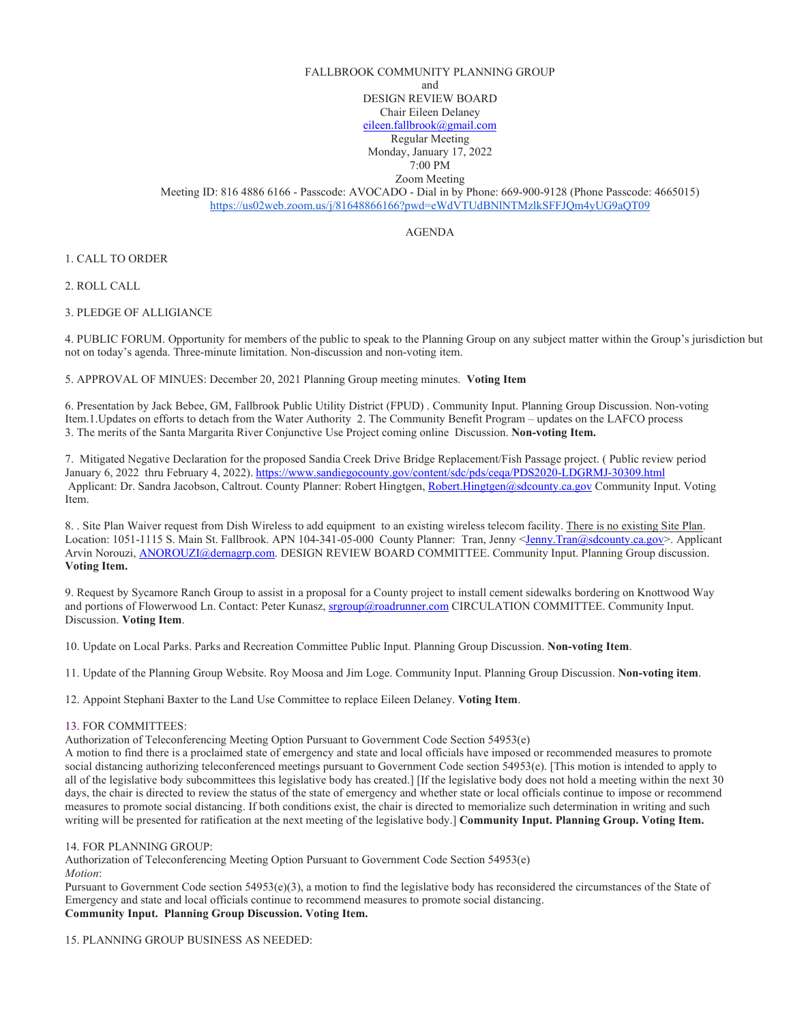## FALLBROOK COMMUNITY PLANNING GROUP

and

DESIGN REVIEW BOARD

Chair Eileen Delaney

[eileen.fallbrook@gmail.com](mailto:eileen.fallbrook@gmail.com)

Regular Meeting Monday, January 17, 2022

7:00 PM

Zoom Meeting Meeting ID: 816 4886 6166 - Passcode: AVOCADO - Dial in by Phone: 669-900-9128 (Phone Passcode: 4665015) <https://us02web.zoom.us/j/81648866166?pwd=eWdVTUdBNlNTMzlkSFFJQm4yUG9aQT09>

AGENDA

1. CALL TO ORDER

2. ROLL CALL

3. PLEDGE OF ALLIGIANCE

4. PUBLIC FORUM. Opportunity for members of the public to speak to the Planning Group on any subject matter within the Group's jurisdiction but not on today's agenda. Three-minute limitation. Non-discussion and non-voting item.

5. APPROVAL OF MINUES: December 20, 2021 Planning Group meeting minutes. **Voting Item**

6. Presentation by Jack Bebee, GM, Fallbrook Public Utility District (FPUD) . Community Input. Planning Group Discussion. Non-voting Item.1.Updates on efforts to detach from the Water Authority 2. The Community Benefit Program – updates on the LAFCO process 3. The merits of the Santa Margarita River Conjunctive Use Project coming online Discussion. **Non-voting Item.**

7. Mitigated Negative Declaration for the proposed Sandia Creek Drive Bridge Replacement/Fish Passage project. ( Public review period January 6, 2022 thru February 4, 2022)[. https://www.sandiegocounty.gov/content/sdc/pds/ceqa/PDS2020-LDGRMJ-30309.html](https://www.sandiegocounty.gov/content/sdc/pds/ceqa/PDS2020-LDGRMJ-30309.html) Applicant: Dr. Sandra Jacobson, Caltrout. County Planner: Robert Hingtgen[, Robert.Hingtgen@sdcounty.ca.gov](mailto:Robert.Hingtgen@sdcounty.ca.gov) Community Input. Voting Item.

8. . Site Plan Waiver request from Dish Wireless to add equipment to an existing wireless telecom facility. There is no existing Site Plan. Location: 1051-1115 S. Main St. Fallbrook. APN 104-341-05-000 County Planner: Tran, Jenny <*Jenny.Tran@sdcounty.ca.gov*>. Applicant Arvin Norouzi[, ANOROUZI@dernagrp.com.](mailto:ANOROUZI@dernagrp.com) DESIGN REVIEW BOARD COMMITTEE. Community Input. Planning Group discussion. **Voting Item.**

9. Request by Sycamore Ranch Group to assist in a proposal for a County project to install cement sidewalks bordering on Knottwood Way and portions of Flowerwood Ln. Contact: Peter Kunasz[, srgroup@roadrunner.com](mailto:srgroup@roadrunner.com) CIRCULATION COMMITTEE. Community Input. Discussion. **Voting Item**.

10. Update on Local Parks. Parks and Recreation Committee Public Input. Planning Group Discussion. **Non-voting Item**.

11. Update of the Planning Group Website. Roy Moosa and Jim Loge. Community Input. Planning Group Discussion. **Non-voting item**.

12. Appoint Stephani Baxter to the Land Use Committee to replace Eileen Delaney. **Voting Item**.

## 13. FOR COMMITTEES:

Authorization of Teleconferencing Meeting Option Pursuant to Government Code Section 54953(e)

A motion to find there is a proclaimed state of emergency and state and local officials have imposed or recommended measures to promote social distancing authorizing teleconferenced meetings pursuant to Government Code section 54953(e). [This motion is intended to apply to all of the legislative body subcommittees this legislative body has created.] [If the legislative body does not hold a meeting within the next 30 days, the chair is directed to review the status of the state of emergency and whether state or local officials continue to impose or recommend measures to promote social distancing. If both conditions exist, the chair is directed to memorialize such determination in writing and such writing will be presented for ratification at the next meeting of the legislative body.] **Community Input. Planning Group. Voting Item.**

## 14. FOR PLANNING GROUP:

Authorization of Teleconferencing Meeting Option Pursuant to Government Code Section 54953(e) *Motion*:

Pursuant to Government Code section 54953(e)(3), a motion to find the legislative body has reconsidered the circumstances of the State of Emergency and state and local officials continue to recommend measures to promote social distancing. **Community Input. Planning Group Discussion. Voting Item.** 

15. PLANNING GROUP BUSINESS AS NEEDED: